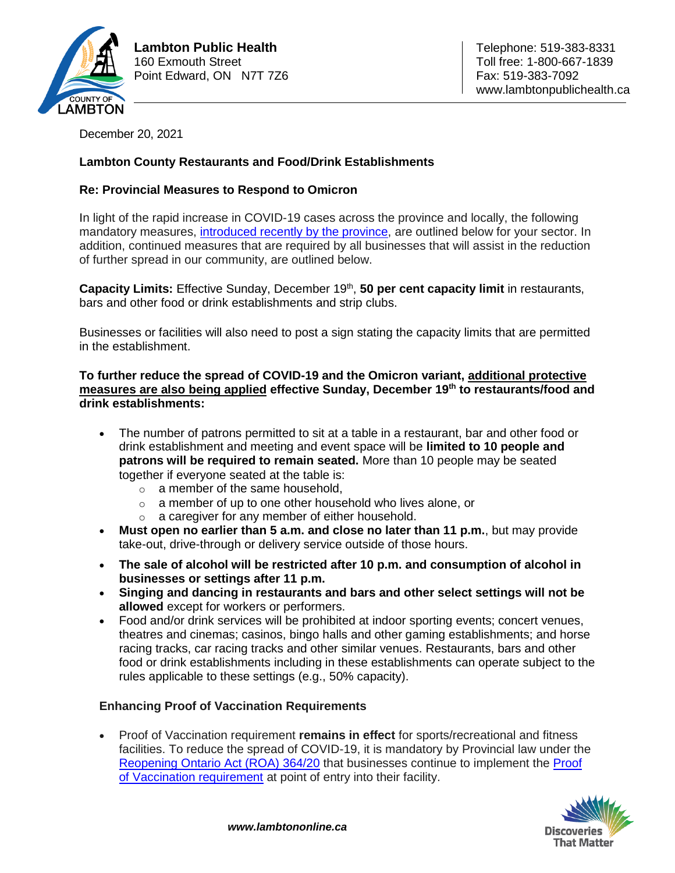

December 20, 2021

# **Lambton County Restaurants and Food/Drink Establishments**

# **Re: Provincial Measures to Respond to Omicron**

In light of the rapid increase in COVID-19 cases across the province and locally, the following mandatory measures, [introduced recently by the province,](https://news.ontario.ca/en/release/1001366/ontario-further-strengthening-response-to-omicron) are outlined below for your sector. In addition, continued measures that are required by all businesses that will assist in the reduction of further spread in our community, are outlined below.

Capacity Limits: Effective Sunday, December 19<sup>th</sup>, 50 per cent capacity limit in restaurants, bars and other food or drink establishments and strip clubs.

Businesses or facilities will also need to post a sign stating the capacity limits that are permitted in the establishment.

**To further reduce the spread of COVID-19 and the Omicron variant, additional protective measures are also being applied effective Sunday, December 19th to restaurants/food and drink establishments:**

- The number of patrons permitted to sit at a table in a restaurant, bar and other food or drink establishment and meeting and event space will be **limited to 10 people and patrons will be required to remain seated.** More than 10 people may be seated together if everyone seated at the table is:
	- $\circ$  a member of the same household.
	- o a member of up to one other household who lives alone, or
	- o a caregiver for any member of either household.
- **Must open no earlier than 5 a.m. and close no later than 11 p.m.**, but may provide take-out, drive-through or delivery service outside of those hours.
- **The sale of alcohol will be restricted after 10 p.m. and consumption of alcohol in businesses or settings after 11 p.m.**
- **Singing and dancing in restaurants and bars and other select settings will not be allowed** except for workers or performers.
- Food and/or drink services will be prohibited at indoor sporting events; concert venues, theatres and cinemas; casinos, bingo halls and other gaming establishments; and horse racing tracks, car racing tracks and other similar venues. Restaurants, bars and other food or drink establishments including in these establishments can operate subject to the rules applicable to these settings (e.g., 50% capacity).

## **Enhancing Proof of Vaccination Requirements**

 Proof of Vaccination requirement **remains in effect** for sports/recreational and fitness facilities. To reduce the spread of COVID-19, it is mandatory by Provincial law under the [Reopening Ontario Act \(ROA\) 364/20](https://www.ontario.ca/laws/regulation/200364) that businesses continue to implement the [Proof](https://www.health.gov.on.ca/en/pro/programs/publichealth/coronavirus/docs/guidance_proof_of_vaccination_for_businesses_and_organizations.pdf)  [of Vaccination requirement](https://www.health.gov.on.ca/en/pro/programs/publichealth/coronavirus/docs/guidance_proof_of_vaccination_for_businesses_and_organizations.pdf) at point of entry into their facility.